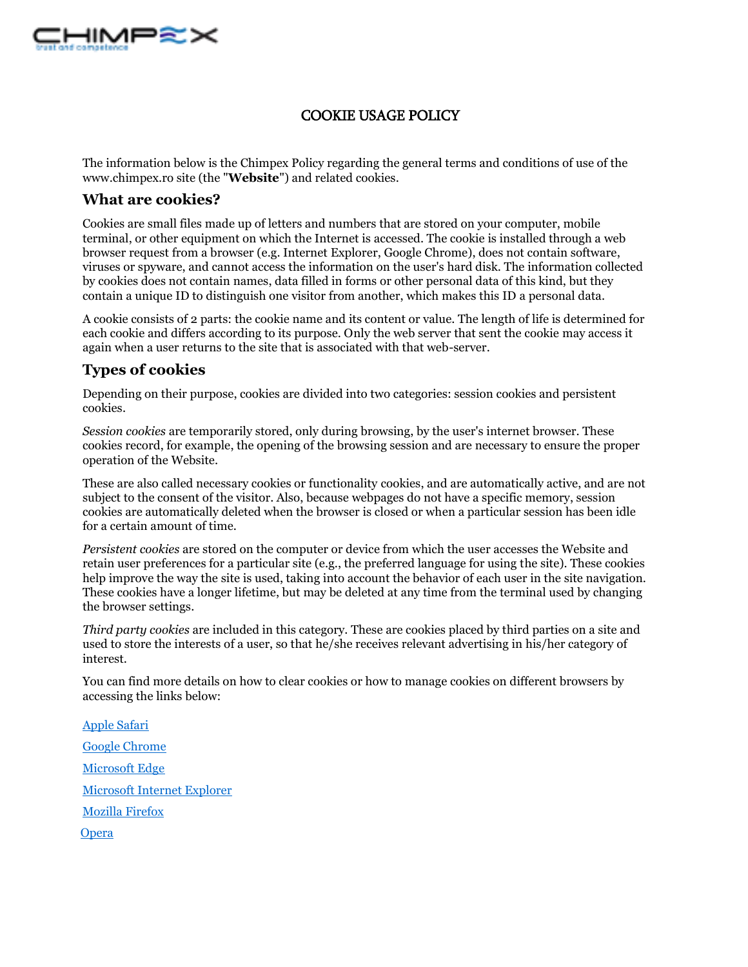

## COOKIE USAGE POLICY

The information below is the Chimpex Policy regarding the general terms and conditions of use of the www.chimpex.ro site (the "**Website**") and related cookies.

## **What are cookies?**

Cookies are small files made up of letters and numbers that are stored on your computer, mobile terminal, or other equipment on which the Internet is accessed. The cookie is installed through a web browser request from a browser (e.g. Internet Explorer, Google Chrome), does not contain software, viruses or spyware, and cannot access the information on the user's hard disk. The information collected by cookies does not contain names, data filled in forms or other personal data of this kind, but they contain a unique ID to distinguish one visitor from another, which makes this ID a personal data.

A cookie consists of 2 parts: the cookie name and its content or value. The length of life is determined for each cookie and differs according to its purpose. Only the web server that sent the cookie may access it again when a user returns to the site that is associated with that web-server.

## **Types of cookies**

Depending on their purpose, cookies are divided into two categories: session cookies and persistent cookies.

*Session cookies* are temporarily stored, only during browsing, by the user's internet browser. These cookies record, for example, the opening of the browsing session and are necessary to ensure the proper operation of the Website.

These are also called necessary cookies or functionality cookies, and are automatically active, and are not subject to the consent of the visitor. Also, because webpages do not have a specific memory, session cookies are automatically deleted when the browser is closed or when a particular session has been idle for a certain amount of time.

*Persistent cookies* are stored on the computer or device from which the user accesses the Website and retain user preferences for a particular site (e.g., the preferred language for using the site). These cookies help improve the way the site is used, taking into account the behavior of each user in the site navigation. These cookies have a longer lifetime, but may be deleted at any time from the terminal used by changing the browser settings.

*Third party cookies* are included in this category. These are cookies placed by third parties on a site and used to store the interests of a user, so that he/she receives relevant advertising in his/her category of interest.

You can find more details on how to clear cookies or how to manage cookies on different browsers by accessing the links below:

[Apple Safari](https://support.apple.com/kb/ph19214?locale=en_US) [Google Chrome](https://support.google.com/chrome/answer/95647?co=GENIE.Platform%3DDesktop&hl=en) [Microsoft Edge](https://privacy.microsoft.com/en-us/windows-10-microsoft-edge-and-privacy) [Microsoft Internet Explorer](https://support.microsoft.com/en-gb/help/17442/windows-internet-explorer-delete-manage-cookies) [Mozilla Firefox](https://support.mozilla.org/en-US/kb/enable-and-disable-cookies-website-preferences) **[Opera](http://www.opera.com/help/tutorials/security/cookies/)**